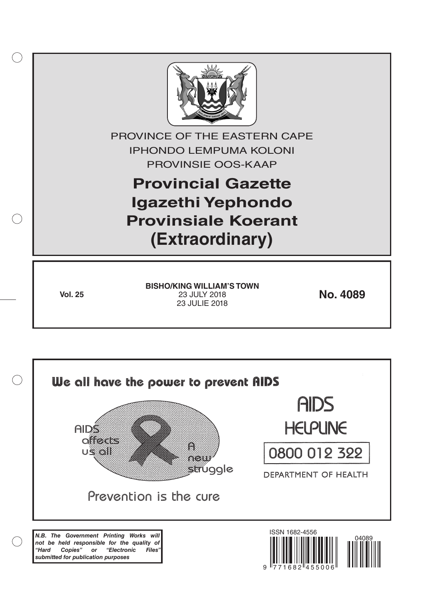

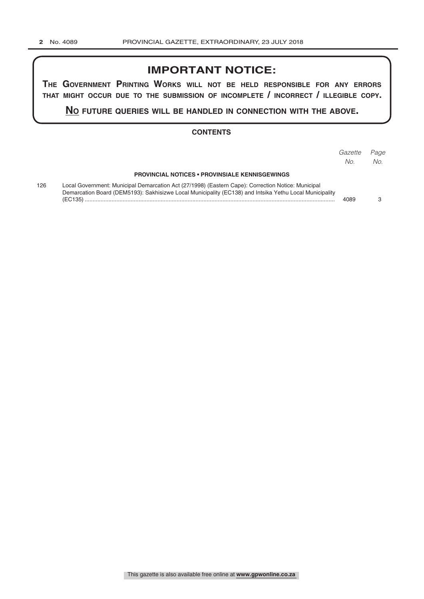# **IMPORTANT NOTICE:**

**The GovernmenT PrinTinG Works Will noT be held resPonsible for any errors ThaT miGhT occur due To The submission of incomPleTe / incorrecT / illeGible coPy.**

**no fuTure queries Will be handled in connecTion WiTh The above.**

#### **CONTENTS**

|     |                                                                                                                                                                                                                              | Gazette<br>No. | Page<br>No. |
|-----|------------------------------------------------------------------------------------------------------------------------------------------------------------------------------------------------------------------------------|----------------|-------------|
|     | <b>PROVINCIAL NOTICES • PROVINSIALE KENNISGEWINGS</b>                                                                                                                                                                        |                |             |
| 126 | Local Government: Municipal Demarcation Act (27/1998) (Eastern Cape): Correction Notice: Municipal<br>Demarcation Board (DEM5193): Sakhisizwe Local Municipality (EC138) and Intsika Yethu Local Municipality<br>$(EC135)$ . | 4089           |             |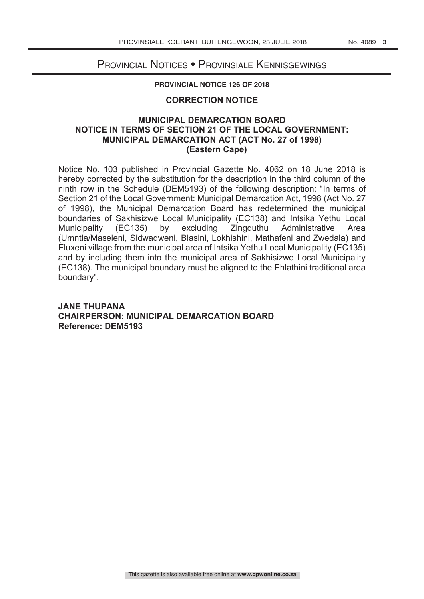# Provincial Notices • Provinsiale Kennisgewings

#### **PROVINCIAL NOTICE 126 OF 2018**

### **CORRECTION NOTICE**

## **MUNICIPAL DEMARCATION BOARD NOTICE IN TERMS OF SECTION 21 OF THE LOCAL GOVERNMENT: MUNICIPAL DEMARCATION ACT (ACT No. 27 of 1998) (Eastern Cape)**

Notice No. 103 published in Provincial Gazette No. 4062 on 18 June 2018 is hereby corrected by the substitution for the description in the third column of the ninth row in the Schedule (DEM5193) of the following description: "In terms of Section 21 of the Local Government: Municipal Demarcation Act, 1998 (Act No. 27 of 1998), the Municipal Demarcation Board has redetermined the municipal boundaries of Sakhisizwe Local Municipality (EC138) and Intsika Yethu Local Municipality (EC135) by excluding Zingquthu Administrative Area (Umntla/Maseleni, Sidwadweni, Blasini, Lokhishini, Mathafeni and Zwedala) and Eluxeni village from the municipal area of Intsika Yethu Local Municipality (EC135) and by including them into the municipal area of Sakhisizwe Local Municipality (EC138). The municipal boundary must be aligned to the Ehlathini traditional area boundary".

# **JANE THUPANA CHAIRPERSON: MUNICIPAL DEMARCATION BOARD Reference: DEM5193**